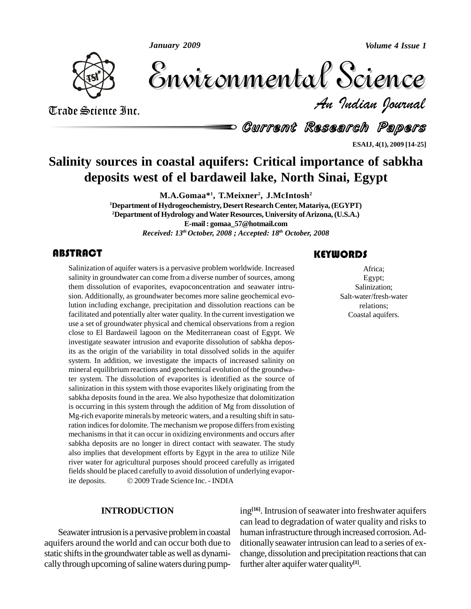*January 2009*

*Volume 4 Issue 1*



Volume 4 Issue 1 *Indian Journal* Volume 4 Issue 1

Trade Science Inc. Trade Science Inc.

Current Research Papers

**ESAIJ, 4(1), 2009 [14-25]**

## **Salinity sources in coastal aquifers: Critical importance of sabkha deposits west of el bardaweil lake, North Sinai, Egypt**

**M.A.Gomaa\* 1 , T.Meixner 2 , J.McIntosh 2 <sup>1</sup>Department ofHydrogeochemistry, Desert ResearchCenter,Matariya,(EGYPT) <sup>2</sup>Department of Hydrology andWaterResources, University ofArizona,(U.S.A.) E-mail: [gomaa\\_57@hotmail.com](mailto:gomaa_57@hotmail.com)** *Received: 13 th October, 2008 ; Accepted: 18 th October, 2008*

### **ABSTRACT**

Salinization of aquifer waters is a pervasive problem worldwide. Increased salinity in groundwater can come from a diverse number of sources, among them dissolution of evaporites, evapoconcentration and seawater intru-Salinization of aquifer waters is a pervasive problem worldwide. Increased salinity in groundwater can come from a diverse number of sources, among sion. Additionally, as groundwater becomes more saline geochemical evolution including exchange, precipitation and dissolution reactions can be facilitated and potentially alter water quality. In the current investigation we use a set of groundwater physical and chemical observations from a region close to El Bardaweil lagoon on the Mediterranean coast of Egypt. We investigate seawater intrusion and evaporite dissolution of sabkha deposits as the origin of the variability in total dissolved solids in the aquifer system. In addition, we investigate the impacts of increased salinity on mineral equilibrium reactions and geochemical evolution of the groundwater system. The dissolution of evaporites is identified as the source of salinization in this system with those evaporites likely originating from the sabkha deposits found in the area. We also hypothesize that dolomitization is occurring in this system through the addition of Mg from dissolution of Mg-rich evaporite minerals by meteoric waters, and a resulting shift in saturation indices for dolomite. The mechanism we propose differs from existing mechanisms in that it can occur in oxidizing environments and occurs after sabkha deposits are no longer in direct contact with seawater. The study also implies that development efforts by Egypt in the area to utilize Nile river water for agricultural purposes should proceed carefully as irrigated fields should be placed carefully to avoid dissolution of underlying evaporriver water for agricultural purposes should proceed carefully as infields should be placed carefully to avoid dissolution of underlying e<br>ite deposits. © 2009 Trade Science Inc. - INDIA

#### **INTRODUCTION**

Seawater intrusion is a pervasive problem in coastal aquifers around the world and can occur both due to static shifts in the groundwater table as well as dynamically through upcoming of saline waters during pump-

### **KEYWORDS**

Africa;<br>Egypt;<br>Salinization; Africa; Egypt; Salinization; Salt-water/fresh-water relations; Coastal aquifers.

ing<sup>[16]</sup>. Intrusion of seawater into freshwater aquifers can lead to degradation of water quality and risks to human infrastructure through increased corrosion.Ad ditionally seawater intrusion can lead to a series of exchange, dissolution and precipitation reactions that can further alter aquiferwater quality **[1]**.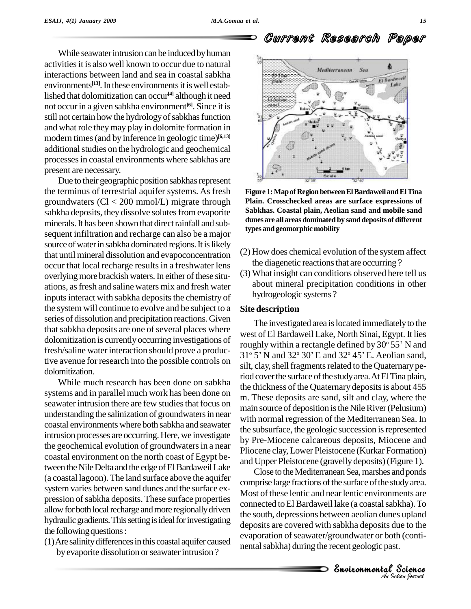While seawater intrusion can be induced by human activities it is also well known to occur due to natural interactions between land and sea in coastal sabkha environments<sup>[13]</sup>. In these environments it is well established that dolomitization can occur<sup>[4]</sup> although it need not occurin a given sabkha environment **[6]**. Since it is still not certain how the hydrology of sabkhas function and what role theymay play in dolomite formation in modern times(and by inference in geologic time) **[6,13]** additional studies on the hydrologic and geochemical processesin coastal environments where sabkhas are present are necessary.

Due to their geographic position sabkhas represent the terminus of terrestrial aquifer systems. As fresh groundwaters (Cl < 200 mmol/L) migrate through sabkha deposits, they dissolve solutes from evaporite minerals. It has been shown that direct rainfall and subsequent infiltration and recharge can also be a major source of water in sabkha dominated regions. It is likely that until mineral dissolution and evapoconcentration occur that local recharge resultsin a freshwater lens overlying more brackish waters. In either of these situations, asfresh and saline waters mix and fresh water inputs interact with sabkha deposits the chemistry of the system will continue to evolve and be subject to a series of dissolution and precipitation reactions. Given that sabkha deposits are one of several places where dolomitization is currently occurring investigations of fresh/saline water interaction should prove a productive avenue for research into the possible controls on dolomitization.

While much research has been done on sabkha systems and in parallel much work has been done on seawater intrusion there are few studies that focus on understanding the salinization of groundwatersin near coastal environments where both sabkha and seawater intrusion processes are occurring. Here, we investigate the geochemical evolution of groundwatersin a near coastal environment on the north coast of Egypt between the Nile Delta and the edge of El Bardaweil Lake (a coastal lagoon). The land surface above the aquifer system varies between sand dunes and the surface ex pression of sabkha deposits. These surface properties allow for both local recharge and more regionally driven hydraulic gradients. This setting is ideal for investigating the following questions:

(1)Are salinitydifferencesin this coastal aquifer caused by evaporite dissolution or seawater intrusion ?



**Figure 1:MapofRegionbetweenElBardaweilandElTina Plain. Crosschecked areas are surface expressions of Sabkhas. Coastal plain, Aeolian sand and mobile sand dunes are all areas dominated by sanddeposits of different types andgeomorphic mobility**

- $(2)$  How does chemical evolution of the system affect the diagenetic reactions that are occurring ?
- (3) What insight can conditions observed here tell us about mineral precipitation conditions in other hydrogeologic systems ?

#### **Site description**

The investigated area is located immediately to the<br>t of El Bardaweil Lake, North Sinai, Egypt. It lies<br>ghly within a rectangle defined by 30° 55' N and west of El Bardaweil Lake, North Sinai, Egypt. It lies<br>roughly within a rectangle defined by 30° 55' N and<br>31° 5' N and 32° 30' E and 32° 45' E. Aeolian sand, roughly within a rectangle defined by  $30^{\circ} 55'$  N and 31° 5' N and 32° 30' E and 32° 45' E. Aeolian sand, silt, clay, shell fragments related to the Quaternary period cover the surface of the study area. At El Tina plain, the thickness of the Quaternary deposits is about 455 m. These deposits are sand, silt and clay, where the main source of deposition is the Nile River (Pelusium) with normal regression of the Mediterranean Sea. In the subsurface, the geologic succession is represented by Pre-Miocene calcareous deposits, Miocene and Pliocene clay, Lower Pleistocene (Kurkar Formation) and Upper Pleistocene (gravellydeposits)(Figure 1).

*An Indian Journal* the south, depressions between aeolian dunes upland connected to El Bardaweil lake (a coastal sabkha). To<br>the south depressions between soolien dunce unland Science<br>Supland<br>we to the<br>h (conti-<br>t.<br>Science Close to the Mediterranean Sea, marshes and ponds comprise large fractions of the surface of the study area. Most of these lentic and near lentic environments are deposits are covered with sabkha deposits due to the evaporation of seawater/groundwater or both (continental sabkha) during the recent geologic past.

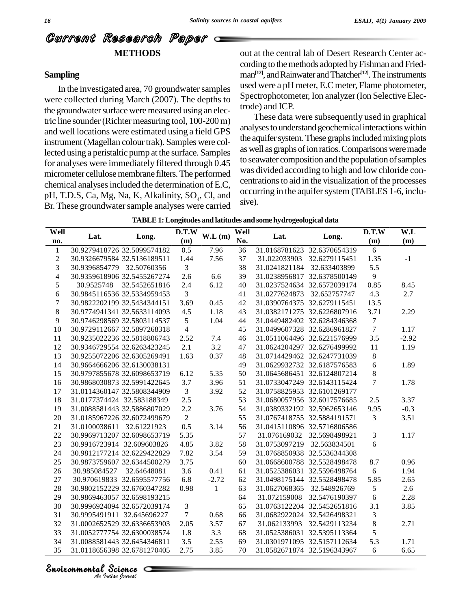## Current Research Paper **METHODS**

#### **Sampling**

In the investigated area, 70 groundwater samples were collected during March (2007). The depths to the groundwater surface were measured using an electric line sounder(Richter measuring tool, 100-200 m) and well locations were estimated using a field GPS instrument (Magellan colour trak). Samples were collected using a peristaltic pump at the surface. Samples for analyses were immediately filtered through 0.45 micrometer cellulose membrane filters. The performed chemical analyses included the determination of E.C, pH, T.D.S, Ca, Mg, Na, K, Alkalinity,  $SO_4$ , Cl, and  $\frac{OCCU(1)}{CU(2)}$ Br. These groundwater sample analyses were carried

out at the central lab of Desert Research Center ac cording to the methods adopted by Fishman and Friedman<sup>[12]</sup>, and Rainwater and Thatcher<sup>[12]</sup>. The instruments used were a pH meter, E.C meter, Flame photometer, Spectrophotometer, Ion analyzer(Ion Selective Electrode) and ICP.

These data were subsequently used in graphical analyses to understand geochemical interactions within the aquifer system. These graphs included mixing plots as well as graphs of ion ratios. Comparisons were made to seawater composition and the population of samples was divided according to high and low chloride con centrations to aid in the visualization of the processes occurring in the aquifer system (TABLES 1-6, inclusive).

| Well<br>no.      | Lat.                        | Long.                       | D.T.W<br>(m)   | W.L(m)       | Well<br>No. | Lat.                       | Long.                       | D.T.W<br>(m)     | W.L<br>(m) |
|------------------|-----------------------------|-----------------------------|----------------|--------------|-------------|----------------------------|-----------------------------|------------------|------------|
| $\mathbf{1}$     |                             | 30.9279418726 32.5099574182 | 0.5            | 7.96         | 36          |                            | 31.0168781623 32.6370654319 | 6                |            |
| $\sqrt{2}$       |                             | 30.9326679584 32.5136189511 | 1.44           | 7.56         | 37          | 31.022033903               | 32.6279115451               | 1.35             | $-1$       |
| $\mathfrak{Z}$   | 30.9396854779 32.50760356   |                             | 3              |              | 38          | 31.0241821184              | 32.633403899                | 5.5              |            |
| $\overline{4}$   |                             | 30.9359618906 32.5455267274 | 2.6            | 6.6          | 39          |                            | 31.0238956817 32.6378500149 | 9                |            |
| $\mathfrak s$    | 30.9525748                  | 32.5452651816               | 2.4            | 6.12         | 40          |                            | 31.0237524634 32.6572039174 | 0.85             | 8.45       |
| $\sqrt{6}$       |                             | 30.9845116536 32.5334959453 | 3              |              | 41          | 31.0277624873              | 32.652757747                | 4.3              | 2.7        |
| $\boldsymbol{7}$ | 30.9822202199 32.5434344151 |                             | 3.69           | 0.45         | 42          |                            | 31.0390764375 32.6279115451 | 13.5             |            |
| $8\,$            |                             | 30.9774941341 32.5633114093 | 4.5            | 1.18         | 43          |                            | 31.0382171275 32.6226807916 | 3.71             | 2.29       |
| 9                |                             | 30.9746298569 32.5803114537 | 5              | 1.04         | 44          |                            | 31.0449482402 32.6284346368 | $\tau$           |            |
| 10               |                             | 30.9729112667 32.5897268318 | $\overline{4}$ |              | 45          |                            | 31.0499607328 32.6286961827 | $\boldsymbol{7}$ | 1.17       |
| 11               |                             | 30.9235022236 32.5818806743 | 2.52           | 7.4          | 46          |                            | 31.0511064496 32.6221576999 | 3.5              | $-2.92$    |
| 12               |                             | 30.9346729554 32.6263423245 | 2.1            | 3.2          | 47          |                            | 31.0624204297 32.6276499992 | 11               | 1.19       |
| 13               | 30.9255072206 32.6305269491 |                             | 1.63           | 0.37         | 48          |                            | 31.0714429462 32.6247731039 | 8                |            |
| 14               | 30.9664666206 32.6130038131 |                             |                |              | 49          |                            | 31.0629932732 32.6187576583 | 6                | 1.89       |
| 15               |                             | 30.9797855678 32.6098653719 | 6.12           | 5.35         | 50          |                            | 31.0645686451 32.6124807214 | 8                |            |
| 16               |                             | 30.9868030873 32.5991422645 | 3.7            | 3.96         | 51          |                            | 31.0733047249 32.6143115424 | $\tau$           | 1.78       |
| 17               |                             | 31.0114360147 32.5808344909 | $\mathfrak{Z}$ | 3.92         | 52          |                            | 31.0758825953 32.6101269177 |                  |            |
| 18               | 31.0177374424 32.583188349  |                             | 2.5            |              | 53          |                            | 31.0680057956 32.6017576685 | 2.5              | 3.37       |
| 19               |                             | 31.0088581443 32.5886807029 | 2.2            | 3.76         | 54          |                            | 31.0389332192 32.5962653146 | 9.95             | $-0.3$     |
| $20\,$           |                             | 31.0185967226 32.6072499679 | $\sqrt{2}$     |              | 55          |                            | 31.0767418755 32.5884191571 | 3                | 3.51       |
| 21               | 31.0100038611 32.61221923   |                             | 0.5            | 3.14         | 56          |                            | 31.0415110896 32.5716806586 |                  |            |
| 22               |                             | 30.9969713207 32.6098653719 | 5.35           |              | 57          | 31.076169032               | 32.5698498921               | 3                | 1.17       |
| 23               | 30.9916723914 32.609603826  |                             | 4.85           | 3.82         | 58          | 31.0753097219 32.563834501 |                             | $6\,$            |            |
| 24               |                             | 30.9812177214 32.6229422829 | 7.82           | 3.54         | 59          |                            | 31.0768850938 32.5536344308 |                  |            |
| 25               |                             | 30.9873759607 32.6344500279 | 3.75           |              | 60          |                            | 31.0668600788 32.5528498478 | 8.7              | 0.96       |
| 26               | 30.985084527                | 32.64648081                 | 3.6            | 0.41         | 61          |                            | 31.0525386031 32.5596498764 | 6                | 1.94       |
| $27\,$           |                             | 30.970619833 32.6595577756  | 6.8            | $-2.72$      | 62          |                            | 31.0498175144 32.5528498478 | 5.85             | 2.65       |
| 28               |                             | 30.9802152229 32.6760347282 | 0.98           | $\mathbf{1}$ | 63          | 31.0627068365              | 32.548926769                | 5                | 2.6        |
| 29               |                             | 30.9869463057 32.6598193215 |                |              | 64          | 31.072159008               | 32.5476190397               | 6                | 2.28       |
| 30               |                             | 30.9996924094 32.6572039174 | 3              |              | 65          |                            | 31.0763122204 32.5452651816 | 3.1              | 3.85       |
| 31               | 30.9995491911 32.645696227  |                             | $\tau$         | 0.68         | 66          |                            | 31.0682922024 32.5426498321 | $\mathfrak{Z}$   |            |
| 32               | 31.0002652529 32.6336653903 |                             | 2.05           | 3.57         | 67          | 31.062133993               | 32.5429113234               | $\,8\,$          | 2.71       |
| 33               |                             | 31.0052777754 32.6300038574 | 1.8            | 3.3          | 68          |                            | 31.0525386031 32.5395113364 | 5                |            |
| 34               | 31.0088581443 32.6454346811 |                             | 3.5            | 2.55         | 69          |                            | 31.0301971095 32.5157112634 | 5.3              | 1.71       |
| 35               |                             | 31.0118656398 32.6781270405 | 2.75           | 3.85         | 70          |                            | 31.0582671874 32.5196343967 | 6                | 6.65       |

#### **TABLE1:Longitudes and latitudes andsome hydrogeological data**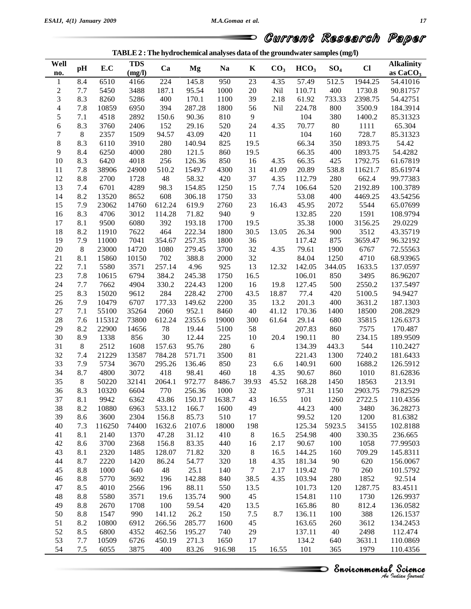|  | TABLE 2 : The hydrochemical analyses data of the groundwater samples (mg/l) |  |
|--|-----------------------------------------------------------------------------|--|
|  |                                                                             |  |

| Well<br>no.           | $\mathbf{p}$ | E.C    | <b>TDS</b><br>(mg/l) | Ca     | Mg     | <b>Na</b> | K                | CO <sub>3</sub> | HCO <sub>3</sub> | SO <sub>4</sub> | $CI$    | <b>Alkalinity</b><br>as $CaCO3$ |
|-----------------------|--------------|--------|----------------------|--------|--------|-----------|------------------|-----------------|------------------|-----------------|---------|---------------------------------|
| $\mathbf{1}$          | 8.4          | 6510   | 4166                 | 224    | 145.8  | 950       | 23               | 4.35            | 57.49            | 512.5           | 1944.25 | 54.41016                        |
|                       | $7.7\,$      | 5450   | 3488                 | 187.1  | 95.54  | 1000      | $20\,$           | Nil             | 110.71           | 400             | 1730.8  | 90.81757                        |
| $\boldsymbol{2}$<br>3 | 8.3          | 8260   | 5286                 | 400    | 170.1  | 1100      | 39               | 2.18            | 61.92            | 733.33          | 2398.75 | 54.42751                        |
|                       |              |        |                      |        | 287.28 |           |                  |                 |                  |                 |         |                                 |
| $\overline{4}$        | 7.8          | 10859  | 6950                 | 394    |        | 1800      | 56               | Nil             | 224.78           | 800             | 3500.9  | 184.3914                        |
| 5                     | 7.1          | 4518   | 2892                 | 150.6  | 90.36  | 810       | $\boldsymbol{9}$ |                 | 104              | 380             | 1400.2  | 85.31323                        |
| 6                     | 8.3          | 3760   | 2406                 | 152    | 29.16  | 520       | 24               | 4.35            | 70.77            | 80              | 1111    | 65.304                          |
| $\sqrt{ }$            | $8\,$        | 2357   | 1509                 | 94.57  | 43.09  | 420       | 11               |                 | 104              | 160             | 728.7   | 85.31323                        |
| $8\,$                 | 8.3          | 6110   | 3910                 | 280    | 140.94 | 825       | 19.5             |                 | 66.34            | 350             | 1893.75 | 54.42                           |
| 9                     | 8.4          | 6250   | 4000                 | 280    | 121.5  | 860       | 19.5             |                 | 66.35            | 400             | 1893.75 | 54.4282                         |
| 10                    | 8.3          | 6420   | 4018                 | 256    | 126.36 | 850       | 16               | 4.35            | 66.35            | 425             | 1792.75 | 61.67819                        |
| 11                    | 7.8          | 38906  | 24900                | 510.2  | 1549.7 | 4300      | 31               | 41.09           | 20.89            | 538.8           | 11621.7 | 85.61974                        |
| 12                    | 8.8          | 2700   | 1728                 | 48     | 58.32  | 420       | 37               | 4.35            | 112.79           | 280             | 662.4   | 99.77383                        |
| 13                    | 7.4          | 6701   | 4289                 | 98.3   | 154.85 | 1250      | 15               | 7.74            | 106.64           | 520             | 2192.89 | 100.3789                        |
| 14                    | 8.2          | 13520  | 8652                 | 608    | 306.18 | 1750      | 33               |                 | 53.08            | 400             | 4469.25 | 43.54256                        |
| 15                    | 7.9          | 23062  | 14760                | 612.24 | 619.9  | 2760      | 23               | 16.43           | 45.95            | 2072            | 5544    | 65.07699                        |
| 16                    | 8.3          | 4706   | 3012                 | 114.28 | 71.82  | 940       | $\mathbf{9}$     |                 | 132.85           | 220             | 1591    | 108.9794                        |
| 17                    | 8.1          | 9500   | 6080                 | 392    | 193.18 | 1700      | 19.5             |                 | 35.38            | 1000            | 3156.25 | 29.0229                         |
| 18                    | 8.2          | 11910  | 7622                 | 464    | 222.34 | 1800      | 30.5             | 13.05           | 26.34            | 900             | 3512    | 43.35719                        |
| 19                    | 7.9          | 11000  | 7041                 | 354.67 | 257.35 | 1800      | 36               |                 | 117.42           | 875             | 3659.47 | 96.32192                        |
| $20\,$                | 8            | 23000  | 14720                | 1080   | 279.45 | 3700      | 32               | 4.35            | 79.61            | 1900            | 6767    | 72.55563                        |
| 21                    | 8.1          | 15860  | 10150                | 702    | 388.8  | 2000      | 32               |                 | 84.04            | 1250            | 4710    | 68.93965                        |
| $22\,$                | $7.1\,$      | 5580   | 3571                 | 257.14 | 4.96   | 925       | 13               | 12.32           | 142.05           | 344.05          | 1633.5  | 137.0597                        |
| 23                    | 7.8          | 10615  | 6794                 | 384.2  | 245.38 | 1750      | 16.5             |                 | 106.01           | 850             | 3495    | 86.96207                        |
| 24                    | $7.7\,$      | 7662   | 4904                 | 330.2  | 224.43 | 1200      | 16               | 19.8            | 127.45           | 500             | 2550.2  | 137.5497                        |
| 25                    | 8.3          | 15020  | 9612                 | 284    | 228.42 | 2700      | 43.5             | 18.87           | 77.4             | 420             | 5100.5  | 94.9427                         |
| 26                    | 7.9          | 10479  | 6707                 | 177.33 | 149.62 | 2200      | 35               | 13.2            | 201.3            | 400             | 3631.2  | 187.1303                        |
| $27\,$                | 7.1          | 55100  | 35264                | 2060   | 952.1  | 8460      | 40               | 41.12           | 170.36           | 1400            | 18500   | 208.2829                        |
| 28                    | 7.6          | 115312 | 73800                | 612.24 | 2355.6 | 19000     | 300              | 61.64           | 29.14            | 680             | 35815   | 126.6373                        |
| 29                    | 8.2          | 22900  | 14656                | $78\,$ | 19.44  | 5100      | 58               |                 | 207.83           | 860             | 7575    | 170.487                         |
|                       |              | 1338   |                      |        |        | 225       |                  | 20.4            |                  |                 |         |                                 |
| 30                    | 8.9          |        | 856                  | $30\,$ | 12.44  |           | 10               |                 | 190.11           | 80              | 234.15  | 189.9509                        |
| 31                    | 8            | 2512   | 1608                 | 157.63 | 95.76  | 280       | $\sqrt{6}$       |                 | 134.39           | 443.3           | 544     | 110.2427                        |
| 32                    | 7.4          | 21229  | 13587                | 784.28 | 571.71 | 3500      | 81               |                 | 221.43           | 1300            | 7240.2  | 181.6433                        |
| 33                    | 7.9          | 5734   | 3670                 | 295.26 | 136.46 | 850       | 23               | 6.6             | 140.91           | 600             | 1688.2  | 126.5912                        |
| 34                    | 8.7          | 4800   | 3072                 | 418    | 98.41  | 460       | 18               | 4.35            | 90.67            | 860             | 1010    | 81.62836                        |
| 35                    | $8\,$        | 50220  | 32141                | 2064.1 | 972.77 | 8486.7    | 39.93            | 45.52           | 168.28           | 1450            | 18563   | 213.91                          |
| 36                    | 8.3          | 10320  | 6604                 | 770    | 256.36 | 1000      | $32\,$           |                 | 97.31            | 1150            | 2903.75 | 79.82529                        |
| 37                    | 8.1          | 9942   | 6362                 | 43.86  | 150.17 | 1638.7    | 43               | 16.55           | 101              | 1260            | 2722.5  | 110.4356                        |
| 38                    | 8.2          | 10880  | 6963                 | 533.12 | 166.7  | 1600      | 49               |                 | 44.23            | 400             | 3480    | 36.28273                        |
| 39                    | 8.6          | 3600   | 2304                 | 156.8  | 85.73  | 510       | 17               |                 | 99.52            | 120             | 1200    | 81.6382                         |
| 40                    | 7.3          | 116250 | 74400                | 1632.6 | 2107.6 | 18000     | 198              |                 | 125.34           | 5923.5          | 34155   | 102.8188                        |
| 41                    | 8.1          | 2140   | 1370                 | 47.28  | 31.12  | 410       | $\,8\,$          | 16.5            | 254.98           | 400             | 330.35  | 236.665                         |
| 42                    | 8.6          | 3700   | 2368                 | 156.8  | 83.35  | 440       | 16               | 2.17            | 90.67            | 100             | 1058    | 77.99503                        |
| 43                    | 8.1          | 2320   | 1485                 | 128.07 | 71.82  | 320       | $8\,$            | 16.5            | 144.25           | 160             | 709.29  | 145.8311                        |
| 44                    | 8.7          | 2220   | 1420                 | 86.24  | 54.77  | 320       | 18               | 4.35            | 181.34           | 90              | 620     | 156.0067                        |
| 45                    | 8.8          | 1000   | 640                  | 48     | 25.1   | 140       | $\tau$           | 2.17            | 119.42           | 70              | 260     | 101.5792                        |
| 46                    | 8.8          | 5770   | 3692                 | 196    | 142.88 | 840       | 38.5             | 4.35            | 103.94           | 280             | 1852    | 92.514                          |
| 47                    | 8.5          | 4010   | 2566                 | 196    | 88.11  | 550       | 13.5             |                 | 101.73           | 120             | 1287.75 | 83.4511                         |
| 48                    | 8.8          | 5580   | 3571                 | 19.6   | 135.74 | 900       | 45               |                 | 154.81           | 110             | 1730    | 126.9937                        |
| 49                    | 8.8          | 2670   | 1708                 | 100    | 59.54  | 420       | 13.5             |                 | 165.86           | 80              | 812.4   | 136.0582                        |
| 50                    | 8.8          | 1547   | 990                  | 141.12 | 26.2   | 150       | 7.5              | 8.7             | 136.11           | 100             | 388     | 126.1537                        |
| 51                    | 8.2          | 10800  | 6912                 | 266.56 | 285.77 | 1600      | 45               |                 | 163.65           | 260             | 3612    | 134.2453                        |
| 52                    | 8.5          | 6800   | 4352                 | 462.56 | 195.27 | 740       | 29               |                 | 137.11           | 40              | 2498    | 112.474                         |
|                       | 7.7          |        |                      |        |        |           |                  |                 |                  |                 |         |                                 |
| 53                    |              | 10509  | 6726                 | 450.19 | 271.3  | 1650      | 17               |                 | 134.2            | 640             | 3631.1  | 110.0869                        |
| 54                    | $7.5$        | 6055   | 3875                 | 400    | 83.26  | 916.98    | 15               | 16.55           | 101              | 365             | 1979    | 110.4356                        |

**Invironmental Science**<br>*An Indian Journal*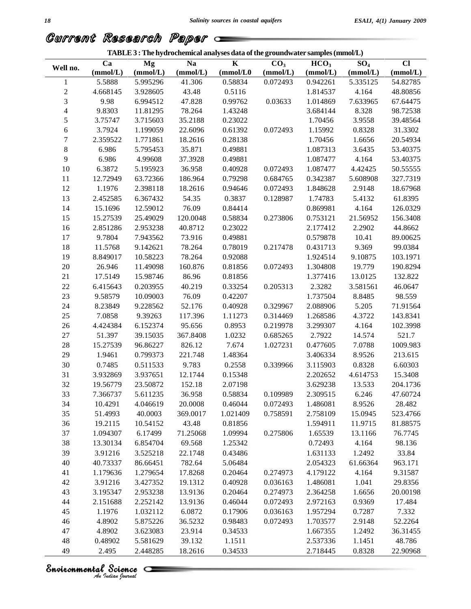**TABLE3 :The hydrochemical analyses data ofthe groundwater samples(mmol/L)**

## Current Research Paper

| Well no.                 | Ca<br>(mmol/L) | Mg<br>(mmol/L) | Na<br>(mmol/L) | $\bf K$<br>(mmol/L0) | CO <sub>3</sub><br>(mmol/L) | HCO <sub>3</sub><br>(mmol/L) | SO <sub>4</sub><br>(mmol/L) | $CI$<br>(mmol/L) |
|--------------------------|----------------|----------------|----------------|----------------------|-----------------------------|------------------------------|-----------------------------|------------------|
| 1                        | 5.5888         | 5.995296       | 41.306         | 0.58834              | 0.072493                    | 0.942261                     | 5.335125                    | 54.82785         |
| $\sqrt{2}$               | 4.668145       | 3.928605       | 43.48          | 0.5116               |                             | 1.814537                     | 4.164                       | 48.80856         |
| 3                        | 9.98           | 6.994512       | 47.828         | 0.99762              | 0.03633                     | 1.014869                     | 7.633965                    | 67.64475         |
| $\overline{\mathcal{L}}$ | 9.8303         | 11.81295       | 78.264         | 1.43248              |                             | 3.684144                     | 8.328                       | 98.72538         |
| 5                        | 3.75747        | 3.715603       | 35.2188        | 0.23022              |                             | 1.70456                      | 3.9558                      | 39.48564         |
| 6                        | 3.7924         | 1.199059       | 22.6096        | 0.61392              | 0.072493                    | 1.15992                      | 0.8328                      | 31.3302          |
| $\boldsymbol{7}$         | 2.359522       | 1.771861       | 18.2616        | 0.28138              |                             | 1.70456                      | 1.6656                      | 20.54934         |
| 8                        | 6.986          | 5.795453       | 35.871         | 0.49881              |                             | 1.087313                     | 3.6435                      | 53.40375         |
| 9                        | 6.986          | 4.99608        | 37.3928        | 0.49881              |                             | 1.087477                     | 4.164                       | 53.40375         |
| 10                       | 6.3872         | 5.195923       | 36.958         | 0.40928              | 0.072493                    | 1.087477                     | 4.42425                     | 50.55555         |
| 11                       | 12.72949       | 63.72366       | 186.964        | 0.79298              | 0.684765                    | 0.342387                     | 5.608908                    | 327.7319         |
| 12                       | 1.1976         | 2.398118       | 18.2616        | 0.94646              | 0.072493                    | 1.848628                     | 2.9148                      | 18.67968         |
| 13                       | 2.452585       | 6.367432       | 54.35          | 0.3837               | 0.128987                    | 1.74783                      | 5.4132                      | 61.8395          |
|                          |                |                | 76.09          | 0.84414              |                             | 0.869981                     |                             | 126.0329         |
| 14                       | 15.1696        | 12.59012       |                |                      |                             |                              | 4.164                       |                  |
| 15                       | 15.27539       | 25.49029       | 120.0048       | 0.58834              | 0.273806                    | 0.753121                     | 21.56952                    | 156.3408         |
| 16                       | 2.851286       | 2.953238       | 40.8712        | 0.23022              |                             | 2.177412                     | 2.2902                      | 44.8662          |
| 17                       | 9.7804         | 7.943562       | 73.916         | 0.49881              |                             | 0.579878                     | 10.41                       | 89.00625         |
| 18                       | 11.5768        | 9.142621       | 78.264         | 0.78019              | 0.217478                    | 0.431713                     | 9.369                       | 99.0384          |
| 19                       | 8.849017       | 10.58223       | 78.264         | 0.92088              |                             | 1.924514                     | 9.10875                     | 103.1971         |
| 20                       | 26.946         | 11.49098       | 160.876        | 0.81856              | 0.072493                    | 1.304808                     | 19.779                      | 190.8294         |
| $21\,$                   | 17.5149        | 15.98746       | 86.96          | 0.81856              |                             | 1.377416                     | 13.0125                     | 132.822          |
| $22\,$                   | 6.415643       | 0.203955       | 40.219         | 0.33254              | 0.205313                    | 2.3282                       | 3.581561                    | 46.0647          |
| 23                       | 9.58579        | 10.09003       | 76.09          | 0.42207              |                             | 1.737504                     | 8.8485                      | 98.559           |
| 24                       | 8.23849        | 9.228562       | 52.176         | 0.40928              | 0.329967                    | 2.088906                     | 5.205                       | 71.91564         |
| 25                       | 7.0858         | 9.39263        | 117.396        | 1.11273              | 0.314469                    | 1.268586                     | 4.3722                      | 143.8341         |
| 26                       | 4.424384       | 6.152374       | 95.656         | 0.8953               | 0.219978                    | 3.299307                     | 4.164                       | 102.3998         |
| $27\,$                   | 51.397         | 39.15035       | 367.8408       | 1.0232               | 0.685265                    | 2.7922                       | 14.574                      | 521.7            |
| $28\,$                   | 15.27539       | 96.86227       | 826.12         | 7.674                | 1.027231                    | 0.477605                     | 7.0788                      | 1009.983         |
| 29                       | 1.9461         | 0.799373       | 221.748        | 1.48364              |                             | 3.406334                     | 8.9526                      | 213.615          |
| $30\,$                   | 0.7485         | 0.511533       | 9.783          | 0.2558               | 0.339966                    | 3.115903                     | 0.8328                      | 6.60303          |
| 31                       | 3.932869       | 3.937651       | 12.1744        | 0.15348              |                             | 2.202652                     | 4.614753                    | 15.3408          |
| 32                       | 19.56779       | 23.50872       | 152.18         | 2.07198              |                             | 3.629238                     | 13.533                      | 204.1736         |
| 33                       | 7.366737       | 5.611235       | 36.958         | 0.58834              | 0.109989                    | 2.309515                     | 6.246                       | 47.60724         |
| 34                       | 10.4291        | 4.046619       | 20.0008        | 0.46044              | 0.072493                    | 1.486081                     | 8.9526                      | 28.482           |
| 35                       | 51.4993        | 40.0003        | 369.0017       | 1.021409             | 0.758591                    | 2.758109                     | 15.0945                     | 523.4766         |
| 36                       | 19.2115        | 10.54152       | 43.48          | 0.81856              |                             | 1.594911                     | 11.9715                     | 81.88575         |
| 37                       | 1.094307       | 6.17499        | 71.25068       | 1.09994              | 0.275806                    | 1.65539                      | 13.1166                     | 76.7745          |
| 38                       | 13.30134       | 6.854704       | 69.568         | 1.25342              |                             | 0.72493                      | 4.164                       | 98.136           |
| 39                       | 3.91216        | 3.525218       | 22.1748        | 0.43486              |                             | 1.631133                     | 1.2492                      | 33.84            |
| 40                       | 40.73337       | 86.66451       | 782.64         | 5.06484              |                             | 2.054323                     | 61.66364                    | 963.171          |
| 41                       | 1.179636       | 1.279654       | 17.8268        | 0.20464              | 0.274973                    | 4.179122                     | 4.164                       | 9.31587          |
| 42                       | 3.91216        | 3.427352       | 19.1312        | 0.40928              | 0.036163                    | 1.486081                     | 1.041                       | 29.8356          |
| 43                       | 3.195347       | 2.953238       | 13.9136        | 0.20464              | 0.274973                    | 2.364258                     | 1.6656                      | 20.00198         |
| 44                       | 2.151688       | 2.252142       | 13.9136        | 0.46044              | 0.072493                    | 2.972163                     | 0.9369                      | 17.484           |
| 45                       | 1.1976         | 1.032112       | 6.0872         | 0.17906              | 0.036163                    | 1.957294                     | 0.7287                      | 7.332            |
| 46                       | 4.8902         | 5.875226       | 36.5232        | 0.98483              | 0.072493                    | 1.703577                     | 2.9148                      | 52.2264          |
| 47                       | 4.8902         | 3.623083       | 23.914         | 0.34533              |                             | 1.667355                     |                             | 36.31455         |
| 48                       | 0.48902        |                | 39.132         |                      |                             | 2.537336                     | 1.2492                      | 48.786           |
|                          |                | 5.581629       |                | 1.1511               |                             |                              | 1.1451                      |                  |
| 49                       | 2.495          | 2.448285       | 18.2616        | 0.34533              |                             | 2.718445                     | 0.8328                      | 22.90968         |

# *Indian Journal*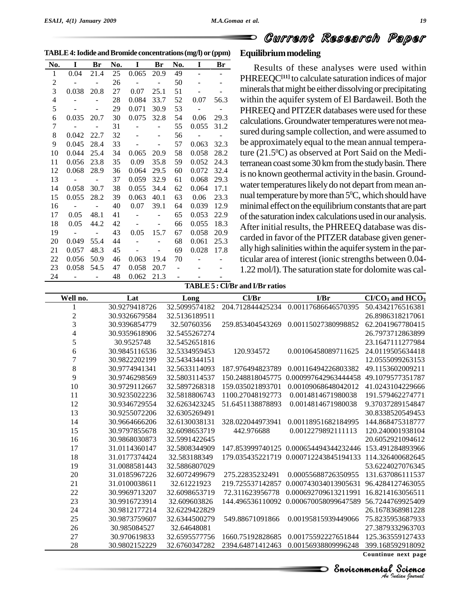D

**TABLE4:Iodide andBromide concentrations(mg/l) or (ppm)**

| No.            | I                       | <b>Br</b>     | No. | $\bf{I}$                 | Br                           | No.            | I                        | Br                       |
|----------------|-------------------------|---------------|-----|--------------------------|------------------------------|----------------|--------------------------|--------------------------|
| $\mathbf{1}$   | 0.04                    | 21.4          | 25  | 0.065                    | 20.9                         | 49             | $\overline{\phantom{a}}$ | $\overline{\phantom{0}}$ |
| 2              |                         |               | 26  | $\sim$ $-$               |                              | 50             |                          |                          |
| $\overline{3}$ | 0.038                   | 20.8          | 27  | 0.07                     | 25.1                         | 51             |                          |                          |
| $\overline{4}$ |                         |               | 28  | 0.084                    | 33.7                         | 52             | 0.07                     | 56.3                     |
| 5              |                         |               | 29  | 0.071                    | 30.9                         | 53             | $\sim$                   | $\sim$ $-$               |
| 6              | 0.035                   | 20.7          | 30  | 0.075                    | 32.8                         | 54             | 0.06                     | 29.3                     |
| 7              |                         |               | 31  | $\sim$                   |                              | 55             | 0.055                    | 31.2                     |
| 8              | 0.042                   | 22.7          | 32  |                          |                              | 56             | $\sim$ $-$               |                          |
| 9              | 0.045                   | 28.4          | 33  | $\frac{1}{2}$            | $\qquad \qquad \blacksquare$ | 57             | 0.063                    | 32.3                     |
| 10             | 0.044                   | 25.4          | 34  | 0.065                    | 20.9                         | 58             | 0.058                    | 28.2                     |
| 11             | 0.056                   | 23.8          | 35  | 0.09                     | 35.8                         | 59             | 0.052                    | 24.3                     |
| 12             | 0.068                   | 28.9          | 36  | 0.064                    | 29.5                         | 60             | 0.072                    | 32.4                     |
| 13             | $\sim 100$ m $^{-1}$    | $\sim$        | 37  | 0.059                    | 32.9                         | 61             | 0.068                    | 29.3                     |
| 14             | 0.058                   | 30.7          | 38  | 0.055                    | 34.4                         | 62             | 0.064                    | 17.1                     |
| 15             | 0.055                   | 28.2          | 39  | 0.063                    | 40.1                         | 63             | 0.06                     | 23.3                     |
| 16             | $\sim 100$ km s $^{-1}$ | $\frac{1}{2}$ | 40  | 0.07                     | 39.1                         | 64             | 0.039                    | 12.9                     |
| 17             | 0.05                    | 48.1          | 41  | $\overline{\phantom{a}}$ |                              | 65             | 0.053                    | 22.9                     |
| 18             | 0.05                    | 44.2          | 42  |                          |                              | 66             | 0.055                    | 18.3                     |
| 19             | $\sim 100$ m $^{-1}$    | $\sim$ $-$    | 43  | 0.05                     | 15.7                         | 67             | 0.058                    | 20.9                     |
| 20             | 0.049                   | 55.4          | 44  |                          |                              | 68             | 0.061                    | 25.3                     |
| 21             | 0.057                   | 48.3          | 45  | $\sim$                   | $\overline{\phantom{a}}$     | 69             | 0.028                    | 17.8                     |
| 22             | 0.056                   | 50.9          | 46  | 0.063                    | 19.4                         | 70             | $\Box$                   |                          |
| 23             | 0.058                   | 54.5          | 47  | 0.058                    | 20.7                         | $\equiv$       |                          |                          |
| 24             |                         |               | 48  | 0.062                    | 21.3                         | $\overline{a}$ |                          |                          |

#### **Equilibriummodeling**

Results of these analyses were used within PHREEQC**[11]** to calculate saturation indices of major minerals that might be either dissolving or precipitating within the aquifer system of El Bardaweil. Both the PHREEQ and PITZER databases were used for these calculations. Groundwater temperatures were not measured during sample collection, and were assumed to be approximately equal to the mean annual temperature (21.5 <sup>0</sup>C) as observed at Port Said on the Mediterranean coast some 30 km from the study basin. There is no known geothermal activity in the basin. Groundwater temperatures likely do not depart from mean annual temperature by more than  $5^{\rm o}$ C, which should have minimal effect on the equilibrium constants that are part of the saturation index calculations used in our analysis. After initial results, the PHREEQ database was dis carded in favor of the PITZER database given gener ally high salinities within the aquifer system in the particular area of interest (ionic strengths between 0.04- 1.22 mol/l).The saturation state for dolomite was cal-

#### **TABLE5 : Cl/Br and I/Br ratios**

| $CI/CO3$ and $HCO3$ | I/Br                                   | Cl/Br            | Long          | Lat           | Well no.         |
|---------------------|----------------------------------------|------------------|---------------|---------------|------------------|
| 50.4342176516381    | 0.00117686646570395                    | 204.712844425234 | 32.5099574182 | 30.9279418726 |                  |
| 26.8986318217061    |                                        |                  | 32.5136189511 | 30.9326679584 | $\boldsymbol{2}$ |
| 62.2041967780415    | 0.00115027380998852                    | 259.853404543269 | 32.50760356   | 30.9396854779 | $\overline{3}$   |
| 26.7973712863899    |                                        |                  | 32.5455267274 | 30.9359618906 | 4                |
| 23.1647111277984    |                                        |                  | 32.5452651816 | 30.9525748    | 5                |
| 24.0119505634418    | 0.00106458089711625                    | 120.934572       | 32.5334959453 | 30.9845116536 | 6                |
| 12.0555099263153    |                                        |                  | 32.5434344151 | 30.9822202199 | $\overline{7}$   |
| 49.1153602009211    | 0.00116494226803382                    | 187.976494823789 | 32.5633114093 | 30.9774941341 | $\,8\,$          |
| 49.1079577351787    | 0.000997642963444458                   | 150.248818045775 | 32.5803114537 | 30.9746298569 | 9                |
| 41.0243104229666    | 0.00109068648042012                    | 159.035021893701 | 32.5897268318 | 30.9729112667 | 10               |
| 191.579462274771    | 0.0014814671980038                     | 1100.27048192773 | 32.5818806743 | 30.9235022236 | 11               |
| 9.37037289154847    | 0.0014814671980038                     | 51.6451138878893 | 32.6263423245 | 30.9346729554 | 12               |
| 30.8338520549453    |                                        |                  | 32.6305269491 | 30.9255072206 | 13               |
| 144.868475318777    | 0.00118951682184995                    | 328.022044973941 | 32.6130038131 | 30.9664666206 | 14               |
| 120.240001938104    | 0.0012279892111113                     | 442.976688       | 32.6098653719 | 30.9797855678 | 15               |
| 20.6052921094612    |                                        |                  | 32.5991422645 | 30.9868030873 | 16               |
| 153.491284893966    | 147.853999740125 0.000654494344232446  |                  | 32.5808344909 | 31.0114360147 | 17               |
| 114.326400682645    | 179.035435221719  0.000712243845194133 |                  | 32.583188349  | 31.0177374424 | 18               |
| 53.6224027076345    |                                        |                  | 32.5886807029 | 31.0088581443 | 19               |
| 131.637086111537    | 0.00055688726350955                    | 275.22835232491  | 32.6072499679 | 31.0185967226 | 20               |
| 96.4284127463055    | 0.000743034013905631                   | 219.725537142857 | 32.61221923   | 31.0100038611 | 21               |
| 16.8214163056511    | 0.000692709613211991                   | 72.311623956778  | 32.6098653719 | 30.9969713207 | 22               |
| 56.7244769925409    | 144.496536110092 0.000670058099647589  |                  | 32.609603826  | 30.9916723914 | 23               |
| 26.1678368981228    |                                        |                  | 32.6229422829 | 30.9812177214 | 24               |
| 75.8235953687933    | 0.00195815939449066                    | 549.88671091866  | 32.6344500279 | 30.9873759607 | 25               |
| 27.3879332963703    |                                        |                  | 32.64648081   | 30.985084527  | 26               |
| 125.363559127433    | 0.00175592227651844                    | 1660.75192828685 | 32.6595577756 | 30.970619833  | 27               |
| 399.168592918092    | 0.00156938809996248                    | 2394.64871412463 | 32.6760347282 | 30.9802152229 | 28               |
| Countinue next page |                                        |                  |               |               |                  |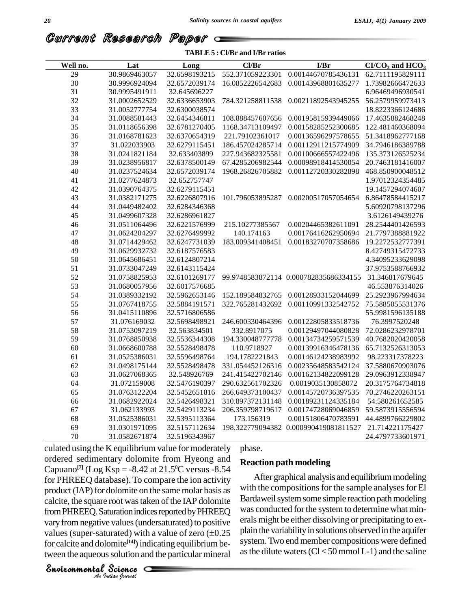Current Research Paper

#### **TABLE5 : Cl/Br and I/Br ratios**

| Well no. | Lat           | Long          | Cl/Br            | I/Br                                  | $CI/CO3$ and $HCO3$ |
|----------|---------------|---------------|------------------|---------------------------------------|---------------------|
| 29       | 30.9869463057 | 32.6598193215 | 552.371059223301 | 0.00144670785436131                   | 62.7111195829111    |
| 30       | 30.9996924094 | 32.6572039174 | 16.0852226542683 | 0.00143968801635277                   | 1.73982666472633    |
| 31       | 30.9995491911 | 32.645696227  |                  |                                       | 6.96469496930541    |
| 32       | 31.0002652529 | 32.6336653903 | 784.321258811538 | 0.00211892543945255                   | 56.2579959973413    |
| 33       | 31.0052777754 | 32.6300038574 |                  |                                       | 18.8223366124686    |
| 34       | 31.0088581443 | 32.6454346811 | 108.888457607656 | 0.00195815939449066                   | 17.4635882468248    |
| 35       | 31.0118656398 | 32.6781270405 | 1168.34713109497 | 0.00158285252300685                   | 122.481460368094    |
| 36       | 31.0168781623 | 32.6370654319 | 221.79102361017  | 0.00136596297578655                   | 51.3418962777168    |
| 37       | 31.022033903  | 32.6279115451 | 186.457024285714 | 0.00112911215774909                   | 34.7946186389788    |
| 38       | 31.0241821184 | 32.633403899  | 227.943682325581 | 0.00100666557422496                   | 135.373126525234    |
| 39       | 31.0238956817 | 32.6378500149 | 67.4285206982544 | 0.00098918414530054                   | 20.7463181416007    |
| 40       | 31.0237524634 | 32.6572039174 | 1968.26826705882 | 0.00112720330282898                   | 468.850900048512    |
| 41       | 31.0277624873 | 32.652757747  |                  |                                       | 1.97012324354485    |
| 42       | 31.0390764375 | 32.6279115451 |                  |                                       | 19.1457294074607    |
| 43       | 31.0382171275 | 32.6226807916 | 101.796053895287 | 0.00200517057054654                   | 6.86478584415217    |
| 44       | 31.0449482402 | 32.6284346368 |                  |                                       | 5.60920798137296    |
| 45       | 31.0499607328 | 32.6286961827 |                  |                                       | 3.6126149439276     |
| 46       | 31.0511064496 | 32.6221576999 | 215.10277385567  | 0.00204465382611091                   | 28.2544401426593    |
| 47       | 31.0624204297 | 32.6276499992 | 140.174163       | 0.00176416262950694                   | 21.7797388881922    |
| 48       | 31.0714429462 | 32.6247731039 | 183.009341408451 | 0.00183270707358686                   | 19.2272532777391    |
| 49       | 31.0629932732 | 32.6187576583 |                  |                                       | 8.42749315472733    |
| 50       | 31.0645686451 | 32.6124807214 |                  |                                       | 4.34095233629098    |
| 51       | 31.0733047249 | 32.6143115424 |                  |                                       | 37.9753588766932    |
| 52       | 31.0758825953 | 32.6101269177 |                  | 99.9748583872114 0.000782835686334155 | 31.346817679645     |
| 53       | 31.0680057956 | 32.6017576685 |                  |                                       | 46.553876314026     |
| 54       | 31.0389332192 | 32.5962653146 | 152.189584832765 | 0.00128933152044699                   | 25.2923967994634    |
| 55       | 31.0767418755 | 32.5884191571 | 322.765281432692 | 0.00110991332542752                   | 75.5885055531376    |
| 56       | 31.0415110896 | 32.5716806586 |                  |                                       | 55.9981596135188    |
| 57       | 31.076169032  | 32.5698498921 | 246.600330464396 | 0.00122805833518736                   | 76.3997520248       |
| 58       | 31.0753097219 | 32.563834501  | 332.8917075      | 0.00129497044080828                   | 72.0286232978701    |
| 59       | 31.0768850938 | 32.5536344308 | 194.330048777778 | 0.00134734259571539                   | 40.7682020420058    |
| 60       | 31.0668600788 | 32.5528498478 | 110.9718927      | 0.00139916346478136                   | 65.7132526313053    |
| 61       | 31.0525386031 | 32.5596498764 | 194.1782221843   | 0.00146124238983992                   | 98.223317378223     |
| 62       | 31.0498175144 | 32.5528498478 | 331.054452126316 | 0.00235648583542124                   | 37.5880670903076    |
| 63       | 31.0627068365 | 32.548926769  | 241.415422702146 | 0.00162134822099128                   | 29.0963912338947    |
| 64       | 31.072159008  | 32.5476190397 | 290.632561702326 | 0.0019035130858072                    | 20.3175764734818    |
| 65       | 31.0763122204 | 32.5452651816 | 266.649373100437 | 0.00145720736397535                   | 70.2746220263151    |
| 66       | 31.0682922024 | 32.5426498321 | 310.897372131148 | 0.00189231124335184                   | 54.580261652585     |
| 67       | 31.062133993  | 32.5429113234 | 206.359798719617 | 0.00174728069046859                   | 59.5873915556594    |
| 68       | 31.0525386031 | 32.5395113364 | 173.156319       | 0.00151806470783591                   | 44.4899766229802    |
| 69       | 31.0301971095 | 32.5157112634 |                  | 198.322779094382 0.000990419081811527 | 21.714221175427     |
| 70       | 31.0582671874 | 32.5196343967 |                  |                                       | 24.4797733601971    |

**From PHREEQ.** Saturation indices reported by PHREEQ was conducted values (super-saturated) with a value of zero  $(\pm 0.25$ <br>for calcite and dolomite<sup>[14]</sup>) indicating equilibrium be-<br>tween the aqueous solution and the particular mineral<br>**Environmental** Science Frost was taken<br>turation indices in<br>explored with a variated) with a variated is solution and the<br>solution and the Science culated using the K equilibrium value for moderately ordered sedimentary dolomite from Hyeong and Capuano<sup>[7]</sup> (Log Ksp = -8.42 at 21.5<sup>o</sup>C versus -8.54 for PHREEQ database). To compare the ion activity product (IAP) for dolomite on the same molar basis as calcite, the square root was taken of the IAP dolomite vary from negative values (undersaturated) to positive  $\frac{\text{erals}}{\text{erals}}$ from PHREEQ. Saturation indices reported by PHREEQ was covary from negative values (undersaturated) to positive erals m values (super-saturated) with a value of zero  $(\pm 0.25$  plain the for calcite and dolomite<sup>[14]</sup>) indicating equilibrium between the aqueous solution and the particular mineral as

#### phase.

#### **Reaction path modeling**

After graphical analysis and equilibrium modeling with the compositions for the sample analyses for El Bardaweil system some simple reaction path modeling was conducted for the system to determine what minerals might be either dissolving or precipitating to ex plain the variability in solutions observed in the aquifer system. Two end member compositions were defined as the dilute waters  $(Cl < 50 \text{ mmol L-1})$  and the saline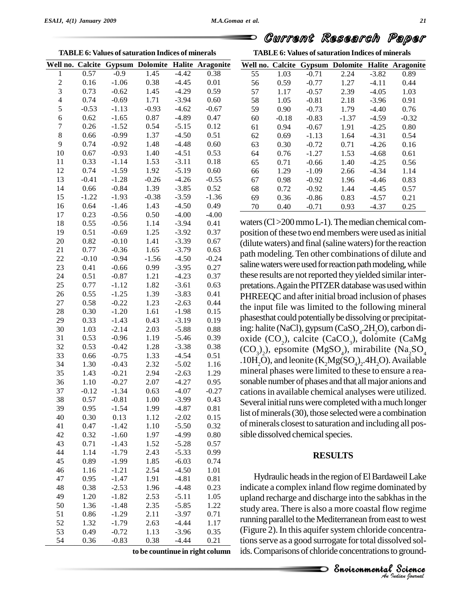**TABLE6: Values ofsaturation Indices of minerals**

|                         |         |         | Well no. Calcite Gypsum Dolomite |         | <b>Halite Aragonite</b> | Wel              |
|-------------------------|---------|---------|----------------------------------|---------|-------------------------|------------------|
| 1                       | 0.57    | $-0.9$  | 1.45                             | $-4.42$ | 0.38                    | 5                |
| $\overline{c}$          | 0.16    | $-1.06$ | 0.38                             | $-4.45$ | 0.01                    | 5                |
| 3                       | 0.73    | $-0.62$ | 1.45                             | $-4.29$ | 0.59                    | 5                |
| $\overline{\mathbf{4}}$ | 0.74    | $-0.69$ | 1.71                             | $-3.94$ | 0.60                    | 5                |
| 5                       | $-0.53$ | $-1.13$ | $-0.93$                          | $-4.62$ | $-0.67$                 | 5                |
| 6                       | 0.62    | $-1.65$ | 0.87                             | $-4.89$ | 0.47                    | 6                |
| 7                       | 0.26    | $-1.52$ | 0.54                             | $-5.15$ | 0.12                    | 6                |
| 8                       | 0.66    | $-0.99$ | 1.37                             | $-4.50$ | 0.51                    | 6                |
| 9                       | 0.74    | $-0.92$ | 1.48                             | $-4.48$ | 0.60                    | 6                |
| 10                      | 0.67    | $-0.93$ | 1.40                             | $-4.51$ | 0.53                    | 6                |
| 11                      | 0.33    | $-1.14$ | 1.53                             | $-3.11$ | 0.18                    | 6                |
| 12                      | 0.74    | $-1.59$ | 1.92                             | $-5.19$ | 0.60                    | 6                |
| 13                      | $-0.41$ | $-1.28$ | $-0.26$                          | $-4.26$ | $-0.55$                 | 6                |
| 14                      | 0.66    | $-0.84$ | 1.39                             | $-3.85$ | 0.52                    | 6                |
| 15                      | $-1.22$ | $-1.93$ | $-0.38$                          | $-3.59$ | $-1.36$                 | 6                |
| 16                      | 0.64    | $-1.46$ | 1.43                             | $-4.50$ | 0.49                    | $\overline{7}$   |
| 17                      | 0.23    | $-0.56$ | 0.50                             | $-4.00$ | $-4.00$                 |                  |
| 18                      | 0.55    | $-0.56$ | 1.14                             | $-3.94$ | 0.41                    | wate             |
| 19                      | 0.51    | $-0.69$ | 1.25                             | $-3.92$ | 0.37                    | posi             |
| 20                      | 0.82    | $-0.10$ | 1.41                             | $-3.39$ | 0.67                    |                  |
| 21                      | 0.77    | $-0.36$ | 1.65                             | $-3.79$ | 0.63                    | (dilu            |
| 22                      | $-0.10$ | $-0.94$ | $-1.56$                          | $-4.50$ | $-0.24$                 | path             |
| 23                      | 0.41    | $-0.66$ | 0.99                             | $-3.95$ | 0.27                    | salin            |
| 24                      | 0.51    | $-0.87$ | 1.21                             | $-4.23$ | 0.37                    | these            |
| 25                      | 0.77    | $-1.12$ | 1.82                             | $-3.61$ | 0.63                    |                  |
| 26                      | 0.55    | $-1.25$ | 1.39                             | $-3.83$ | 0.41                    | preta            |
| 27                      | 0.58    | $-0.22$ | 1.23                             | $-2.63$ | 0.44                    | PHF              |
| 28                      | 0.30    | $-1.20$ | 1.61                             | $-1.98$ | 0.15                    | the i            |
| 29                      | 0.33    | $-1.43$ | 0.43                             | $-3.19$ | 0.19                    | phas             |
| 30                      | 1.03    | $-2.14$ | 2.03                             | $-5.88$ | 0.88                    | ing:             |
| 31                      | 0.53    | $-0.96$ | 1.19                             | $-5.46$ | 0.39                    | oxic             |
| 32                      | 0.53    | $-0.42$ | 1.28                             | $-3.38$ | 0.38                    |                  |
| 33                      | 0.66    | $-0.75$ | 1.33                             | $-4.54$ | 0.51                    | (CO)             |
| 34                      | 1.30    | $-0.43$ | 2.32                             | $-5.02$ | 1.16                    | .10 <sub>F</sub> |
| 35                      | 1.43    | $-0.21$ | 2.94                             | $-2.63$ | 1.29                    | min              |
| 36                      | 1.10    | $-0.27$ | 2.07                             | $-4.27$ | 0.95                    | sona             |
| 37                      | $-0.12$ | $-1.34$ | 0.63                             | $-4.07$ | $-0.27$                 | catio            |
| 38                      | 0.57    | $-0.81$ | 1.00                             | $-3.99$ | 0.43                    |                  |
| 39                      | 0.95    | $-1.54$ | 1.99                             | $-4.87$ | 0.81                    | Seve             |
| 40                      | 0.30    | 0.13    | 1.12                             | $-2.02$ | 0.15                    | list c           |
| 41                      | 0.47    | $-1.42$ | 1.10                             | $-5.50$ | 0.32                    | of m             |
| 42                      | 0.32    | $-1.60$ | 1.97                             | $-4.99$ | 0.80                    | sible            |
| 43                      | 0.71    | $-1.43$ | 1.52                             | $-5.28$ | 0.57                    |                  |
| 44                      | 1.14    | $-1.79$ | 2.43                             | $-5.33$ | 0.99                    |                  |
| 45                      | 0.89    | $-1.99$ | 1.85                             | $-6.03$ | 0.74                    |                  |
| 46                      | 1.16    | $-1.21$ | 2.54                             | $-4.50$ | 1.01                    |                  |
| 47                      | 0.95    | $-1.47$ | 1.91                             | $-4.81$ | 0.81                    |                  |
| 48                      | 0.38    | $-2.53$ | 1.96                             | $-4.48$ | 0.23                    | indi             |
| 49                      | 1.20    | $-1.82$ | 2.53                             | $-5.11$ | 1.05                    |                  |
| 50                      | 1.36    | $-1.48$ | 2.35                             | $-5.85$ | 1.22                    | upla             |
| 51                      | 0.86    | $-1.29$ | 2.11                             | $-3.97$ | 0.71                    | stud             |
| 52                      | 1.32    | $-1.79$ | 2.63                             | $-4.44$ | 1.17                    | runn             |
| 53                      | 0.49    | $-0.72$ | 1.13                             | $-3.96$ | 0.35                    | (Fig             |
| 54                      | 0.36    |         |                                  | $-4.44$ |                         | tion:            |
|                         |         | $-0.83$ | 0.38                             |         | 0.21                    |                  |

**TABLE6: Values ofsaturation Indices of minerals**

|    |         |         |         |         | Well no. Calcite Gypsum Dolomite Halite Aragonite |
|----|---------|---------|---------|---------|---------------------------------------------------|
| 55 | 1.03    | $-0.71$ | 2.24    | $-3.82$ | 0.89                                              |
| 56 | 0.59    | $-0.77$ | 1.27    | $-4.11$ | 0.44                                              |
| 57 | 1.17    | $-0.57$ | 2.39    | $-4.05$ | 1.03                                              |
| 58 | 1.05    | $-0.81$ | 2.18    | $-3.96$ | 0.91                                              |
| 59 | 0.90    | $-0.73$ | 1.79    | $-4.40$ | 0.76                                              |
| 60 | $-0.18$ | $-0.83$ | $-1.37$ | $-4.59$ | $-0.32$                                           |
| 61 | 0.94    | $-0.67$ | 1.91    | $-4.25$ | 0.80                                              |
| 62 | 0.69    | $-1.13$ | 1.64    | $-4.31$ | 0.54                                              |
| 63 | 0.30    | $-0.72$ | 0.71    | $-4.26$ | 0.16                                              |
| 64 | 0.76    | $-1.27$ | 1.53    | $-4.68$ | 0.61                                              |
| 65 | 0.71    | $-0.66$ | 1.40    | $-4.25$ | 0.56                                              |
| 66 | 1.29    | $-1.09$ | 2.66    | $-4.34$ | 1.14                                              |
| 67 | 0.98    | $-0.92$ | 1.96    | $-4.46$ | 0.83                                              |
| 68 | 0.72    | $-0.92$ | 1.44    | $-4.45$ | 0.57                                              |
| 69 | 0.36    | $-0.86$ | 0.83    | $-4.57$ | 0.21                                              |
| 70 | 0.40    | $-0.71$ | 0.93    | $-4.37$ | 0.25                                              |

waters (Cl > 200 mmo L-1). The median chemical composition of these two end members were used as initial (dilute waters) and final (saline waters) for the reaction path modeling. Ten other combinations of dilute and saline waters were used for reaction path modeling, while these results are not reported they yielded similar interpretations. Again the PITZER database was used within PHREEQC and after initial broad inclusion of phases the input file was limited to the following mineral phasesthat could potentiallybe dissolvingor precipitating: halite (NaCl), gypsum (CaSO<sub>4</sub>.2H<sub>2</sub>O), carbon dioxide (CO<sub>2</sub>), calcite (CaCO<sub>3</sub>), dolomite (CaMg  $(CO_3)_2$ ), epsomite (MgSO<sub>4</sub>), mirabilite (Na<sub>2</sub>SO<sub>4</sub>) .10H<sub>2</sub>O), and leonite  $(K_2Mg(SO_4)_2.4H_2O)$ . Available mineral phases were limited to these to ensure a rea sonable number of phases and that all major anions and cations in available chemical analyses were utilized. Several initial runs were completed with a much longer list of minerals (30), those selected were a combination of minerals closest to saturation and including all pos sible dissolved chemical species.

#### **RESULTS**

study area. There is also a more coastal flow regime v regime<br>st to west<br>ncentra-<br>lved sol-<br>ground-<br>**Science** Hydraulic heads in the region of El Bardaweil Lake indicate a complex inland flow regime dominated by upland recharge and discharge into the sabkhas in the running parallel to the Mediterranean from east to west (Figure 2). In this aquifer system chloride concentrations serve as a good surrogate for total dissolved sol**to be countinue in right column** ids.Comparisons of chloride concentrationsto ground-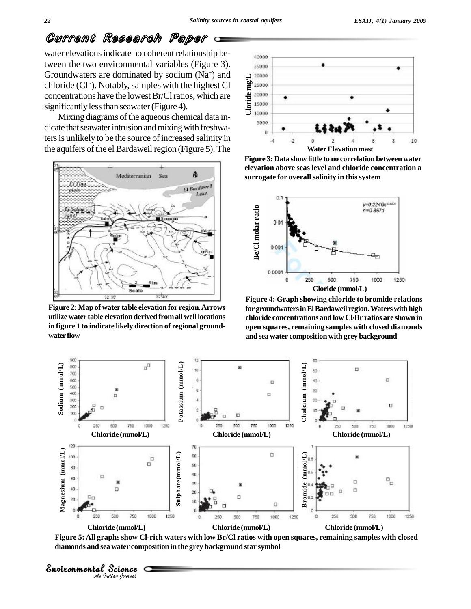water elevations indicate no coherent relationship between the two environmental variables (Figure 3). Groundwaters are dominated by sodium  $(Na^+)$  and  $\Box$ chloride (Cl -). Notably,samples with the highest Cl concentrations have the lowest Br/Cl ratios, which are  $\frac{q}{R}$ <sup>20000</sup><br>cignificantly loss than acquisite (Figure 4) significantly less than seawater (Figure 4).

Mixing diagrams of the aqueous chemical data indicate that seawater intrusion and mixing with freshwaters is unlikely to be the source of increased salinity in the aquifers of the el Bardaweil region (Figure 5). The



**Figure 2: Map of water table elevation for region.Arrows utilize water table elevation derived fromallwell locations in figure 1 to indicate likely direction of regional ground** water flow



**Figure 3: Data show littleto no correlation between water elevation above seas level and chloride concentration a surrogate for overallsalinity in thissystem**



**Figure 4: Graph showing chloride to bromide relations forgroundwatersinElBardaweil region.Waterswithhigh chloride concentrations and low Cl/Br ratios are shown in open squares, remaining samples with closed diamonds and sea water compositionwith grey background**



Figure 5: All graphs show Cl-rich waters with low Br/Cl ratios with open squares, remaining samples with closed **diamonds and sea water composition in the grey background star symbol**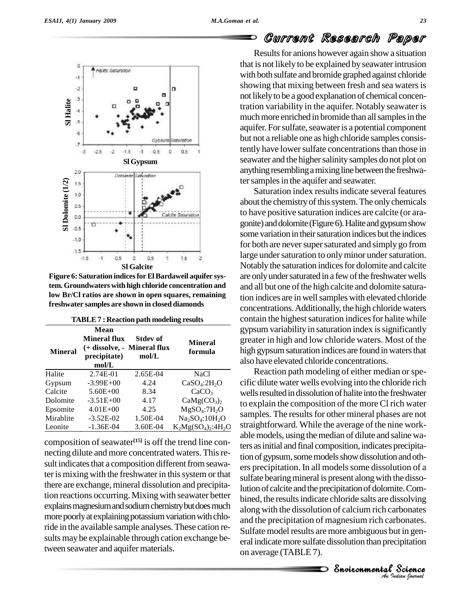o

-1  $\cdot 2$ 

**Sl <sup>H</sup>**

 $.25$ 

Зj

 $-0.5$ 

.5  $-1.5$  $-1$ 

Heilte Saturation

**alite**

-6

 $\overline{t}$ 

 $2.0$ 

 $-3$ 

**Sl Dolomite (1/2)**

 $-1.0$  $-1.5$ 





Saturation index results indicate several features about the chemistry of this system. The only chemicals to have positive saturation indices are calcite (or ara gonite) and dolomite (Figure 6). Halite and gypsum show some variation in their saturation indices but the indices for both are never super saturated and simply go from large under saturation to only minor under saturation. Notably the saturation indices for dolomite and calcite are only under saturated in a few of the freshwater wells and all but one of the high calcite and dolomite saturation indices are in wellsampleswith elevated chloride concentrations.Additionally, the high chloride waters contain the highest saturation indices for halite while gypsum variability in saturation index is significantly greater in high and low chloride waters. Most of the high gypsum saturation indices are found in waters that also have elevated chloride concentrations.

along with the dissolution of calcium rich carbonates *Indianales*<br> *Indianales*<br> *P*<br> *Propertion bound<br>
<i>Indian bound* rbonates<br>bonates.<br>ut in gen-<br>ipitation<br>Science Reaction path modeling of either median or specific dilute water wells evolving into the chloride rich wells resulted in dissolution of halite into the freshwater to explain the composition of the moreCl rich water samples. The results for other mineral phases are not straightforward. While the average of the nine work able models, using the median of dilute and saline waters as initial and final composition, indicates precipitation of gypsum, some models show dissolution and others precipitation. In all models some dissolution of a sulfate bearing mineral is present along with the dissolution of calcite and the precipitation of dolomite. Combined, the results indicate chloride salts are dissolving and the precipitation of magnesium rich carbonates. Sulfate model results are more ambiguous but in general indicate more sulfate dissolution than precipitation on average (TABLE 7).

 $-1.5$  $1.5$  $\overline{2}$ **Sl Galcite Figure 6: Saturation indicesforElBardaweil aquifer system. Groundwaters with high chloride concentration and low Br/Cl ratios are shown in open squares, remaining freshwater samples are shown in closed diamonds**

 $\sigma$ 

 $0.5$ 

**Sl Gypsum**

Dalamite<sup>Seturation</sup>

Gynsu

 $-0.5$ 

n o

Seturation

 $\mathbf{D}$ 

 $0.5$ 

x

| <b>Mineral</b> | Mean<br><b>Mineral flux</b><br>precipitate)<br>mol/L | <b>Stdev of</b><br>(+ dissolve, - Mineral flux<br>mol/L | <b>Mineral</b><br>formula            | gypsun<br>greater<br>high gy<br>also hay |
|----------------|------------------------------------------------------|---------------------------------------------------------|--------------------------------------|------------------------------------------|
| Halite         | 2.74E-01                                             | 2.65E-04                                                | NaCl                                 | Rea                                      |
| Gypsum         | $-3.99E+00$                                          | 4.24                                                    | CaSO <sub>4</sub> :2H <sub>2</sub> O | cific dil                                |
| Calcite        | $5.60E + 00$                                         | 8.34                                                    | CaCO <sub>3</sub>                    | wells re                                 |
| Dolomite       | $-3.51E+00$                                          | 4.17                                                    | CaMg(CO <sub>3</sub> ) <sub>2</sub>  | to expla                                 |
| Epsomite       | $4.01E + 00$                                         | 4.25                                                    | MgSO <sub>4</sub> :7H <sub>2</sub> O |                                          |
| Mirablite      | $-3.52E-02$                                          | 1.50E-04                                                | $Na2SO4:10H2O$                       | sample                                   |
| Leonite        | $-1.36E-04$                                          | 3.60E-04                                                | $K_2Mg(SO_4)_2$ :4H <sub>2</sub> O   | straight                                 |

composition of seawater<sup>[15]</sup> is off the trend line connecting dilute and more concentrated waters. Thisre sult indicates that a composition different from seawater is mixing with the freshwater in this system or that there are exchange, mineral dissolution and precipitation reactions occurring. Mixing with seawater better explains magnesium and sodium chemistry but does much more poorly at explaining potassium variation with chloride in the available sample analyses.These cation re-sults maybe explainable through cation exchange between seawater and aquifer materials.



| <b>TABLE 7: Reaction path modeling results</b> |
|------------------------------------------------|
|------------------------------------------------|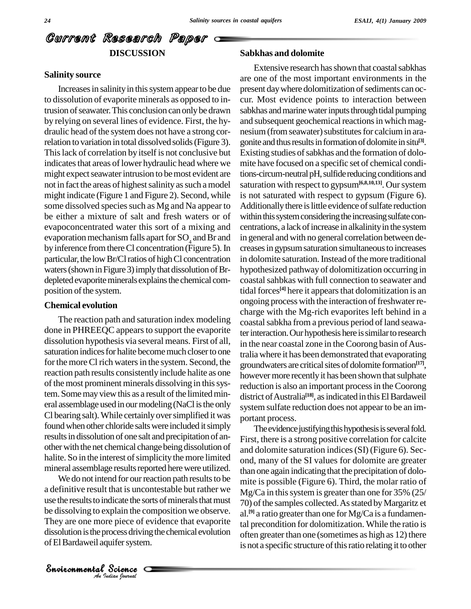## Current Research Paper **DISCUSSION**

#### **Salinity source**

Increases in salinity in this system appear to be due to dissolution of evaporite minerals as opposed to intrusion of seawater. This conclusion can only be drawn by relying on several lines of evidence. First, the hy draulic head of the system does not have a strong correlation to variation in total dissolved solids(Figure 3). Thislack of correlation by itself is not conclusive but indicates that areas of lower hydraulic head where we might expect seawater intrusion to be most evident are not in fact the areas of highest salinity as such a model might indicate (Figure 1 and Figure 2). Second, while some dissolved species such as Mg and Na appear to be either a mixture of salt and fresh waters or of evapoconcentrated water this sort of a mixing and evaporation mechanism falls apart for  $SO_4$  and Br and by inference from there Cl concentration (Figure 5). In particular, the low Br/Cl ratios of high Cl concentration waters (shown in Figure 3) imply that dissolution of Brdepleted evaporite minerals explains the chemical composition of the system.

#### **Chemical evolution**

The reaction path and saturation index modeling done in PHREEQC appears to support the evaporite dissolution hypothesis via several means. First of all, saturation indices for halite become much closer to one for the more Cl rich waters in the system. Second, the reaction path results consistently include halite as one of the most prominent minerals dissolving in this system. Some may view this as a result of the limited mineral assemblage used in our modeling (NaCl is the only Cl bearing salt).While certainlyoversimplified it was found when other chloride salts were included it simply results in dissolution of one salt and precipitation of another with the net chemical change being dissolution of halite. So in the interest of simplicity the more limited mineral assemblage results reported here were utilized.

be dissolving to explain the composition we observe. al scheme the sons<br>splain the comp<br>e piece of evid<br>ocess driving the uifer system.<br>Science We do not intend for our reaction path results to be. a definitive result that is uncontestable but rather we use the results to indicate the sorts of minerals that must They are one more piece of evidence that evaporite talment dissolution is the process driving the chemical evolution of El Bardaweil aquifer system.

#### **Sabkhas and dolomite**

Extensive research has shown that coastal sabkhas are one of the most important environments in the present day where dolomitization of sediments can occur. Most evidence points to interaction between sabkhas and marine water inputs through tidal pumping and subsequent geochemical reactions in which magnesium (from seawater) substitutes for calcium in aragonite and thus results in formation of dolomite in situ<sup>[3]</sup>. Existing studies of sabkhas and the formation of dolomite have focused on a specific setof chemical conditions-circum-neutral pH, sulfide reducing conditions and saturation with respect to gypsum<sup>[6,8,10,13]</sup>. Our system is not saturated with respect to gypsum (Figure 6). Additionally there is little evidence of sulfate reduction within this system considering the increasing sulfate concentrations, a lack of increase in alkalinity in the system in general and with no general correlation between de creasesin gypsumsaturation simultaneousto increases in dolomite saturation. Instead of the more traditional hypothesized pathway of dolomitization occurring in coastal sahbkas with full connection to seawater and tidal forces **[4]** here it appearsthat dolomitization isan ongoing process with the interaction of freshwater recharge with the Mg-rich evaporites left behind in a coastal sabkha from a previous period of land seawater interaction. Our hypothesis here is similar to research in the near coastal zone in the Coorong basin of Australia where it has been demonstrated that evaporating groundwaters are criticalsites of dolomite formation **[17]**, however more recently it has been shown that sulphate reduction is also an important process in the Coorong district of Australia<sup>[18]</sup>, as indicated in this El Bardaweil system sulfate reduction does not appear to be an im portant process.

The evidence justifying this hypothesis is several fold. First, there is a strong positive correlation for calcite and dolomite saturation indices(SI) (Figure 6). Sec ond, many of the SI values for dolomite are greater than one again indicating that the precipitation of dolo mite is possible (Figure 6). Third, the molar ratio of  $Mg/Ca$  in this system is greater than one for 35% (25/ 70) of the samples collected. As stated by Margaritz et al.<sup>[9]</sup> a ratio greater than one for Mg/Ca is a fundamental precondition for dolomitization. While the ratio is often greater than one (sometimes as high as  $12$ ) there is not a specific structure of this ratio relating it to other

*Indian Journal*